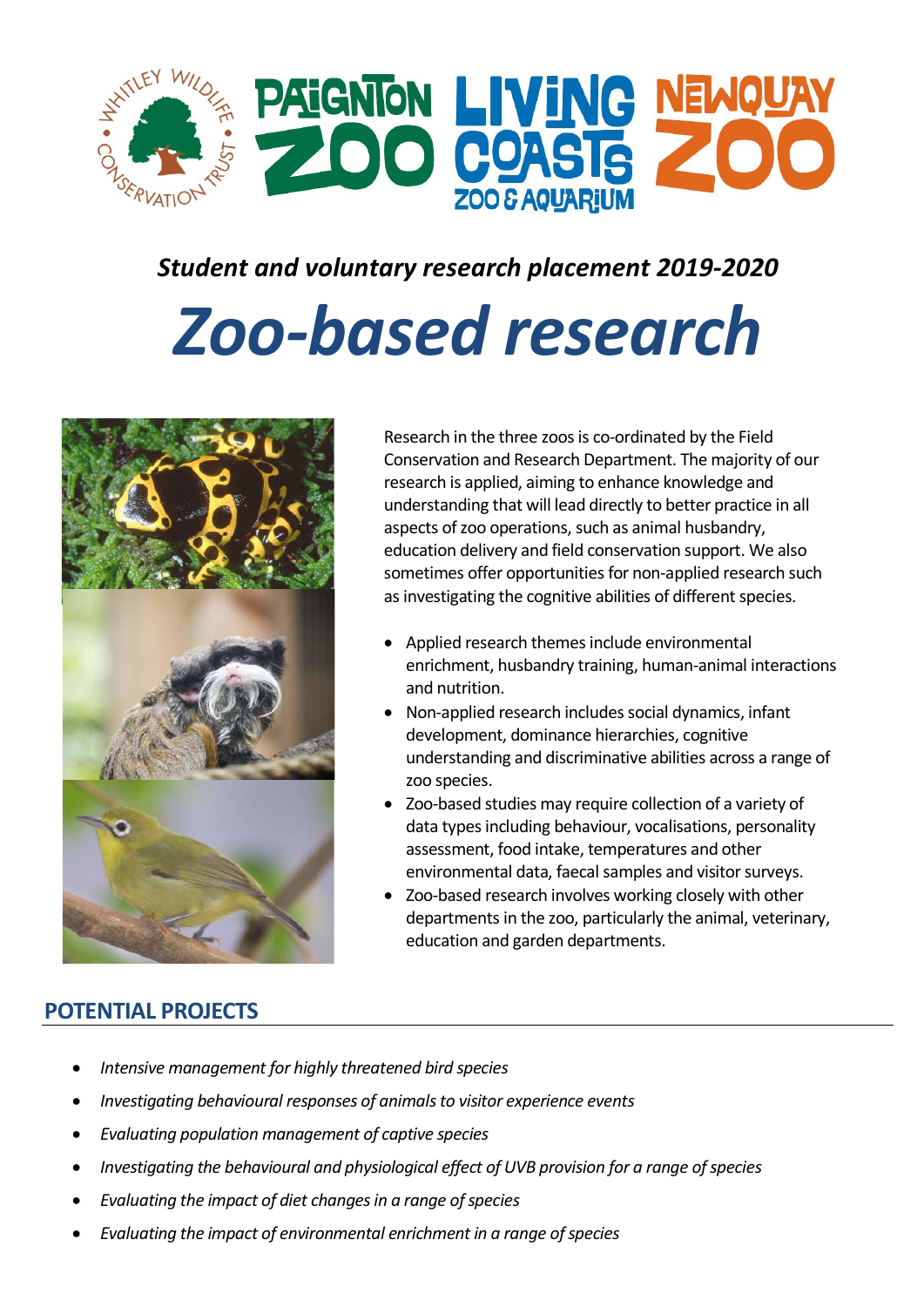

# *Student and voluntary research placement 2019-2020*

# *Zoo-based research*



Research in the three zoos is co-ordinated by the Field Conservation and Research Department. The majority of our research is applied, aiming to enhance knowledge and understanding that will lead directly to better practice in all aspects of zoo operations, such as animal husbandry, education delivery and field conservation support. We also sometimes offer opportunities for non-applied research such as investigating the cognitive abilities of different species.

- Applied research themes include environmental enrichment, husbandry training, human-animal interactions and nutrition.
- Non-applied research includes social dynamics, infant development, dominance hierarchies, cognitive understanding and discriminative abilities across a range of zoo species.
- Zoo-based studies may require collection of a variety of data types including behaviour, vocalisations, personality assessment, food intake, temperatures and other environmental data, faecal samples and visitor surveys.
- Zoo-based research involves working closely with other departments in the zoo, particularly the animal, veterinary, education and garden departments.

## **POTENTIAL PROJECTS**

- *Intensive management for highly threatened bird species*
- *Investigating behavioural responses of animals to visitor experience events*
- *Evaluating population management of captive species*
- *Investigating the behavioural and physiological effect of UVB provision for a range of species*
- *Evaluating the impact of diet changes in a range of species*
- *Evaluating the impact of environmental enrichment in a range of species*